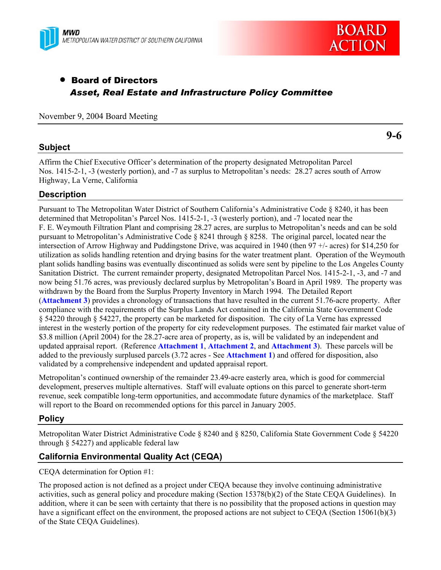



# • Board of Directors *Asset, Real Estate and Infrastructure Policy Committee*

November 9, 2004 Board Meeting

### **Subject**

**9-6** 

Affirm the Chief Executive Officer's determination of the property designated Metropolitan Parcel Nos. 1415-2-1, -3 (westerly portion), and -7 as surplus to Metropolitan's needs: 28.27 acres south of Arrow Highway, La Verne, California

## **Description**

Pursuant to The Metropolitan Water District of Southern California's Administrative Code § 8240, it has been determined that Metropolitan's Parcel Nos. 1415-2-1, -3 (westerly portion), and -7 located near the F. E. Weymouth Filtration Plant and comprising 28.27 acres, are surplus to Metropolitan's needs and can be sold pursuant to Metropolitan's Administrative Code § 8241 through § 8258. The original parcel, located near the intersection of Arrow Highway and Puddingstone Drive, was acquired in 1940 (then 97 +/- acres) for \$14,250 for utilization as solids handling retention and drying basins for the water treatment plant. Operation of the Weymouth plant solids handling basins was eventually discontinued as solids were sent by pipeline to the Los Angeles County Sanitation District. The current remainder property, designated Metropolitan Parcel Nos. 1415-2-1, -3, and -7 and now being 51.76 acres, was previously declared surplus by Metropolitan's Board in April 1989. The property was withdrawn by the Board from the Surplus Property Inventory in March 1994. The Detailed Report (**Attachment 3**) provides a chronology of transactions that have resulted in the current 51.76-acre property. After compliance with the requirements of the Surplus Lands Act contained in the California State Government Code § 54220 through § 54227, the property can be marketed for disposition. The city of La Verne has expressed interest in the westerly portion of the property for city redevelopment purposes. The estimated fair market value of \$3.8 million (April 2004) for the 28.27-acre area of property, as is, will be validated by an independent and updated appraisal report. (Reference **Attachment 1**, **Attachment 2**, and **Attachment 3**).These parcels will be added to the previously surplused parcels (3.72 acres - See **Attachment 1**) and offered for disposition, also validated by a comprehensive independent and updated appraisal report.

Metropolitan's continued ownership of the remainder 23.49-acre easterly area, which is good for commercial development, preserves multiple alternatives. Staff will evaluate options on this parcel to generate short-term revenue, seek compatible long-term opportunities, and accommodate future dynamics of the marketplace. Staff will report to the Board on recommended options for this parcel in January 2005.

## **Policy**

Metropolitan Water District Administrative Code § 8240 and § 8250, California State Government Code § 54220 through § 54227) and applicable federal law

## **California Environmental Quality Act (CEQA)**

CEQA determination for Option #1:

The proposed action is not defined as a project under CEQA because they involve continuing administrative activities, such as general policy and procedure making (Section 15378(b)(2) of the State CEQA Guidelines). In addition, where it can be seen with certainty that there is no possibility that the proposed actions in question may have a significant effect on the environment, the proposed actions are not subject to CEOA (Section 15061(b)(3) of the State CEQA Guidelines).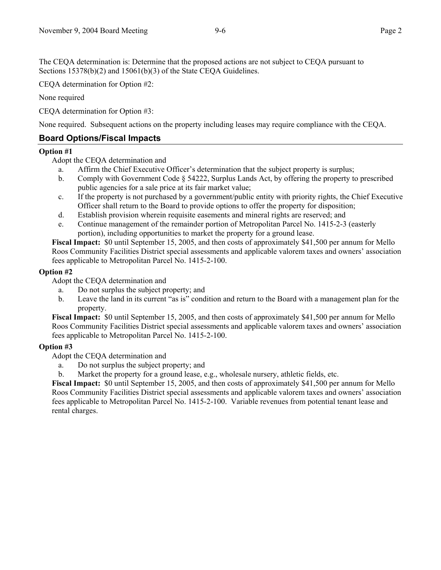The CEQA determination is: Determine that the proposed actions are not subject to CEQA pursuant to Sections 15378(b)(2) and 15061(b)(3) of the State CEQA Guidelines.

CEQA determination for Option #2:

None required

CEQA determination for Option #3:

None required. Subsequent actions on the property including leases may require compliance with the CEQA.

## **Board Options/Fiscal Impacts**

#### **Option #1**

Adopt the CEQA determination and

- a. Affirm the Chief Executive Officer's determination that the subject property is surplus;
- b. Comply with Government Code § 54222, Surplus Lands Act, by offering the property to prescribed public agencies for a sale price at its fair market value;
- c. If the property is not purchased by a government/public entity with priority rights, the Chief Executive Officer shall return to the Board to provide options to offer the property for disposition;
- d. Establish provision wherein requisite easements and mineral rights are reserved; and
- e. Continue management of the remainder portion of Metropolitan Parcel No. 1415-2-3 (easterly portion), including opportunities to market the property for a ground lease.

**Fiscal Impact:** \$0 until September 15, 2005, and then costs of approximately \$41,500 per annum for Mello Roos Community Facilities District special assessments and applicable valorem taxes and owners' association fees applicable to Metropolitan Parcel No. 1415-2-100.

### **Option #2**

Adopt the CEQA determination and

- a. Do not surplus the subject property; and
- b. Leave the land in its current "as is" condition and return to the Board with a management plan for the property.

**Fiscal Impact:** \$0 until September 15, 2005, and then costs of approximately \$41,500 per annum for Mello Roos Community Facilities District special assessments and applicable valorem taxes and owners' association fees applicable to Metropolitan Parcel No. 1415-2-100.

### **Option #3**

Adopt the CEQA determination and

- a. Do not surplus the subject property; and
- b. Market the property for a ground lease, e.g., wholesale nursery, athletic fields, etc.

**Fiscal Impact:** \$0 until September 15, 2005, and then costs of approximately \$41,500 per annum for Mello Roos Community Facilities District special assessments and applicable valorem taxes and owners' association fees applicable to Metropolitan Parcel No. 1415-2-100. Variable revenues from potential tenant lease and rental charges.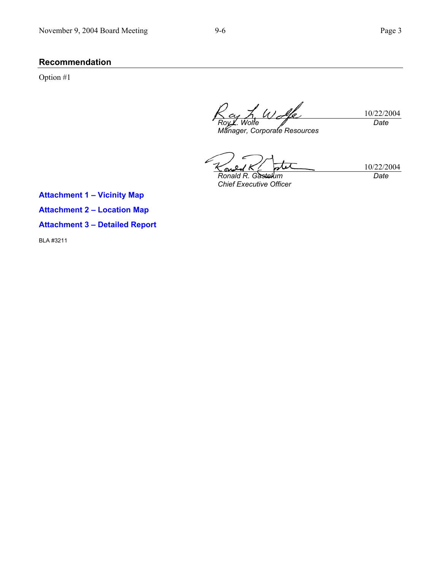# **Recommendation**

Option #1

10/22/2004 *Roy L. Wolfe Manager, Corporate Resources Date* 

10/22/2004 s *Ronald R. Gastelum* 

*Chief Executive Officer* 

*Date* 

**Attachment 1 – Vicinity Map Attachment 2 – Location Map** 

**Attachment 3 – Detailed Report** 

BLA #3211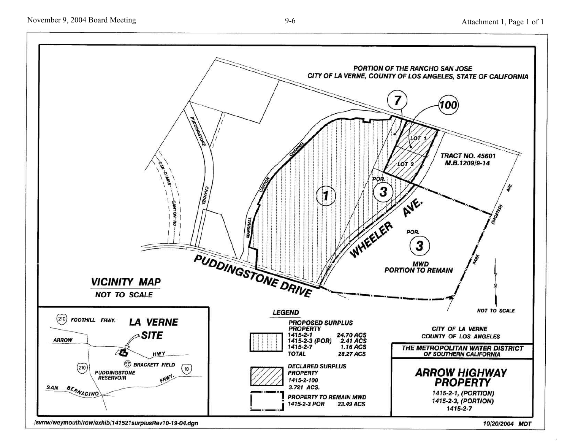

/svrrw/weymouth/row/exhib/141521surplusRev10-19-04.dgn

10/20/2004 MDT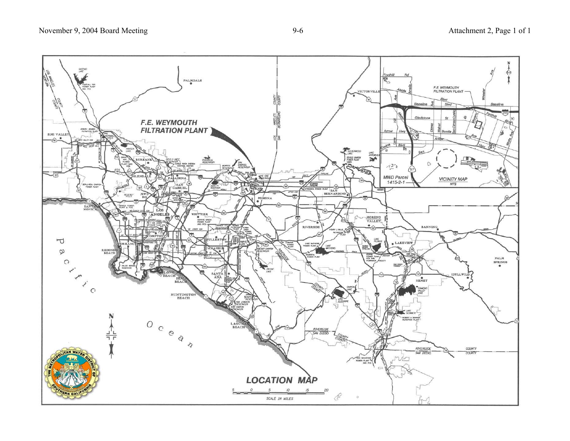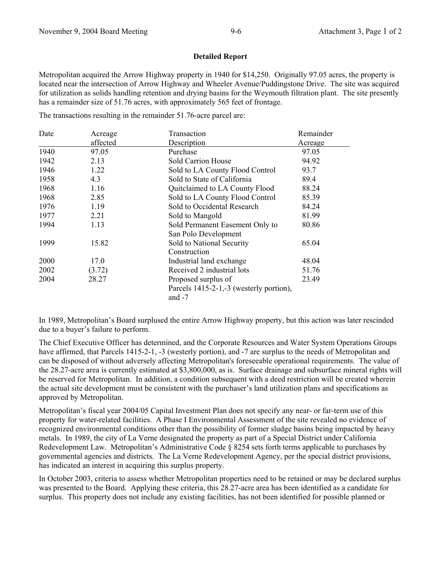#### **Detailed Report**

Metropolitan acquired the Arrow Highway property in 1940 for \$14,250. Originally 97.05 acres, the property is located near the intersection of Arrow Highway and Wheeler Avenue/Puddingstone Drive. The site was acquired for utilization as solids handling retention and drying basins for the Weymouth filtration plant. The site presently has a remainder size of 51.76 acres, with approximately 565 feet of frontage.

The transactions resulting in the remainder 51.76-acre parcel are:

| Date | Acreage  | Transaction                             | Remainder      |
|------|----------|-----------------------------------------|----------------|
|      | affected | Description                             | <u>Acreage</u> |
| 1940 | 97.05    | Purchase                                | 97.05          |
| 1942 | 2.13     | Sold Carrion House                      | 94.92          |
| 1946 | 1.22     | Sold to LA County Flood Control         | 93.7           |
| 1958 | 4.3      | Sold to State of California             | 89.4           |
| 1968 | 1.16     | Quitclaimed to LA County Flood          | 88.24          |
| 1968 | 2.85     | Sold to LA County Flood Control         | 85.39          |
| 1976 | 1.19     | Sold to Occidental Research             | 84.24          |
| 1977 | 2.21     | Sold to Mangold                         | 81.99          |
| 1994 | 1.13     | Sold Permanent Easement Only to         | 80.86          |
|      |          | San Polo Development                    |                |
| 1999 | 15.82    | Sold to National Security               | 65.04          |
|      |          | Construction                            |                |
| 2000 | 17.0     | Industrial land exchange                | 48.04          |
| 2002 | (3.72)   | Received 2 industrial lots              | 51.76          |
| 2004 | 28.27    | Proposed surplus of                     | 23.49          |
|      |          | Parcels 1415-2-1,-3 (westerly portion), |                |
|      |          | and $-7$                                |                |

In 1989, Metropolitan's Board surplused the entire Arrow Highway property, but this action was later rescinded due to a buyer's failure to perform.

The Chief Executive Officer has determined, and the Corporate Resources and Water System Operations Groups have affirmed, that Parcels 1415-2-1, -3 (westerly portion), and -7 are surplus to the needs of Metropolitan and can be disposed of without adversely affecting Metropolitan's foreseeable operational requirements. The value of the 28.27-acre area is currently estimated at \$3,800,000, as is. Surface drainage and subsurface mineral rights will be reserved for Metropolitan. In addition, a condition subsequent with a deed restriction will be created wherein the actual site development must be consistent with the purchaser's land utilization plans and specifications as approved by Metropolitan.

Metropolitan's fiscal year 2004/05 Capital Investment Plan does not specify any near- or far-term use of this property for water-related facilities. A Phase I Environmental Assessment of the site revealed no evidence of recognized environmental conditions other than the possibility of former sludge basins being impacted by heavy metals. In 1989, the city of La Verne designated the property as part of a Special District under California Redevelopment Law. Metropolitan's Administrative Code § 8254 sets forth terms applicable to purchases by governmental agencies and districts. The La Verne Redevelopment Agency, per the special district provisions, has indicated an interest in acquiring this surplus property.

In October 2003, criteria to assess whether Metropolitan properties need to be retained or may be declared surplus was presented to the Board. Applying these criteria, this 28.27-acre area has been identified as a candidate for surplus. This property does not include any existing facilities, has not been identified for possible planned or